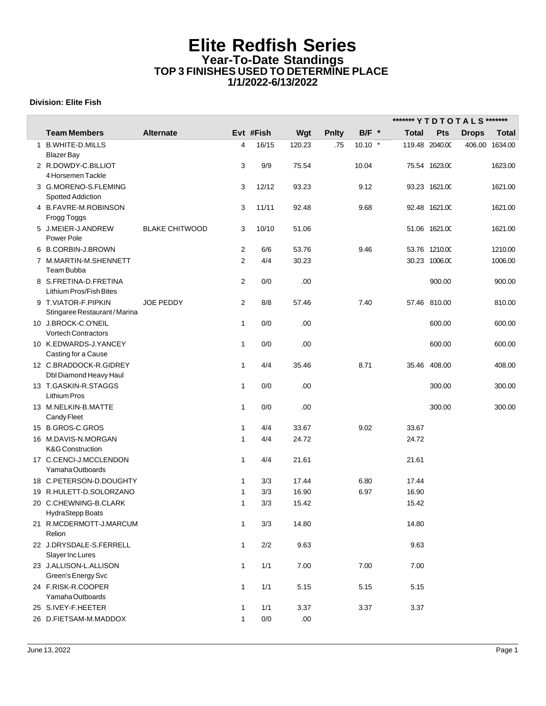## **Elite Redfish Series Year-To-Date Standings TOP 3 FINISHES USED TO DETERMINE PLACE 1/1/2022-6/13/2022**

## **Division: Elite Fish**

|   |                                          |                       |                |           |        |              |           | ******* Y T D T O T A L S ******* |                |              |              |
|---|------------------------------------------|-----------------------|----------------|-----------|--------|--------------|-----------|-----------------------------------|----------------|--------------|--------------|
|   | <b>Team Members</b>                      | <b>Alternate</b>      |                | Evt #Fish | Wgt    | <b>Pnlty</b> | $B/F$ *   | <b>Total</b>                      | <b>Pts</b>     | <b>Drops</b> | <b>Total</b> |
| 1 | <b>B.WHITE-D.MILLS</b>                   |                       | 4              | 16/15     | 120.23 | .75          | $10.10$ * |                                   | 119.48 2040.00 | 406.00       | 1634.00      |
|   | Blazer Bay                               |                       |                |           |        |              |           |                                   |                |              |              |
|   | 2 R.DOWDY-C.BILLIOT                      |                       | 3              | 9/9       | 75.54  |              | 10.04     |                                   | 75.54 1623.00  |              | 1623.00      |
|   | 4 Horsemen Tackle                        |                       |                |           |        |              |           |                                   |                |              |              |
|   | 3 G.MORENO-S.FLEMING                     |                       | 3              | 12/12     | 93.23  |              | 9.12      |                                   | 93.23 1621.00  |              | 1621.00      |
|   | Spotted Addiction                        |                       |                |           |        |              |           |                                   |                |              |              |
|   | 4 B.FAVRE-M.ROBINSON                     |                       | 3              | 11/11     | 92.48  |              | 9.68      |                                   | 92.48 1621.00  |              | 1621.00      |
|   | Frogg Toggs                              |                       |                |           |        |              |           |                                   |                |              |              |
|   | 5 J.MEIER-J.ANDREW                       | <b>BLAKE CHITWOOD</b> | 3              | 10/10     | 51.06  |              |           |                                   | 51.06 1621.00  |              | 1621.00      |
|   | Power Pole                               |                       |                |           |        |              |           |                                   |                |              |              |
|   | 6 B.CORBIN-J.BROWN                       |                       | $\overline{c}$ | 6/6       | 53.76  |              | 9.46      |                                   | 53.76 1210.00  |              | 1210.00      |
|   | 7 M.MARTIN-M.SHENNETT                    |                       | $\overline{2}$ | 4/4       | 30.23  |              |           |                                   | 30.23 1006.00  |              | 1006.00      |
|   | Team Bubba                               |                       |                |           |        |              |           |                                   |                |              |              |
|   | 8 S.FRETINA-D.FRETINA                    |                       | 2              | 0/0       | .00    |              |           |                                   | 900.00         |              | 900.00       |
|   | Lithium Pros/Fish Bites                  |                       |                |           |        |              |           |                                   |                |              |              |
|   | 9 T.VIATOR-F.PIPKIN                      | <b>JOE PEDDY</b>      | 2              | 8/8       | 57.46  |              | 7.40      |                                   | 57.46 810.00   |              | 810.00       |
|   | Stingaree Restaurant/Marina              |                       |                |           |        |              |           |                                   |                |              |              |
|   | 10 J.BROCK-C.O'NEIL                      |                       | $\mathbf{1}$   | 0/0       | .00    |              |           |                                   | 600.00         |              | 600.00       |
|   | <b>Vortech Contractors</b>               |                       |                |           |        |              |           |                                   |                |              |              |
|   | 10 K.EDWARDS-J.YANCEY                    |                       | $\mathbf{1}$   | 0/0       | .00    |              |           |                                   | 600.00         |              | 600.00       |
|   | Casting for a Cause                      |                       |                |           |        |              |           |                                   |                |              |              |
|   | 12 C.BRADDOCK-R.GIDREY                   |                       | $\mathbf{1}$   | 4/4       | 35.46  |              | 8.71      |                                   | 35.46 408.00   |              | 408.00       |
|   | Dbl Diamond Heavy Haul                   |                       |                |           |        |              |           |                                   |                |              |              |
|   | 13 T.GASKIN-R.STAGGS                     |                       | $\mathbf{1}$   | 0/0       | .00    |              |           |                                   | 300.00         |              | 300.00       |
|   | <b>Lithium Pros</b>                      |                       |                |           |        |              |           |                                   |                |              |              |
|   | 13 M.NELKIN-B.MATTE                      |                       | $\mathbf{1}$   | 0/0       | .00    |              |           |                                   | 300.00         |              | 300.00       |
|   | Candy Fleet                              |                       |                |           |        |              |           |                                   |                |              |              |
|   | 15 B.GROS-C.GROS                         |                       | 1              | 4/4       | 33.67  |              | 9.02      | 33.67                             |                |              |              |
|   | 16 M.DAVIS-N.MORGAN                      |                       | 1              | 4/4       | 24.72  |              |           | 24.72                             |                |              |              |
|   | <b>K&amp;G Construction</b>              |                       |                |           |        |              |           |                                   |                |              |              |
|   | 17 C.CENCI-J.MCCLENDON                   |                       | $\mathbf{1}$   | 4/4       | 21.61  |              |           | 21.61                             |                |              |              |
|   | Yamaha Outboards                         |                       |                |           |        |              |           |                                   |                |              |              |
|   | 18 C.PETERSON-D.DOUGHTY                  |                       | $\mathbf{1}$   | 3/3       | 17.44  |              | 6.80      | 17.44                             |                |              |              |
|   | 19 R.HULETT-D.SOLORZANO                  |                       | 1              | 3/3       | 16.90  |              | 6.97      | 16.90                             |                |              |              |
|   | 20 C.CHEWNING-B.CLARK                    |                       | 1              | 3/3       | 15.42  |              |           | 15.42                             |                |              |              |
|   | HydraStepp Boats                         |                       |                |           |        |              |           |                                   |                |              |              |
|   | 21 R.MCDERMOTT-J.MARCUM                  |                       | 1              | 3/3       | 14.80  |              |           | 14.80                             |                |              |              |
|   | Relion                                   |                       |                |           |        |              |           |                                   |                |              |              |
|   | 22 J.DRYSDALE-S.FERRELL                  |                       | $\mathbf{1}$   | $2/2$     | 9.63   |              |           | 9.63                              |                |              |              |
|   | Slayer Inc Lures                         |                       |                |           |        |              |           |                                   |                |              |              |
|   | 23 J.ALLISON-L.ALLISON                   |                       | $\mathbf{1}$   | 1/1       | 7.00   |              | 7.00      | 7.00                              |                |              |              |
|   | Green's Energy Svc<br>24 F.RISK-R.COOPER |                       |                |           |        |              |           |                                   |                |              |              |
|   | Yamaha Outboards                         |                       | $\mathbf{1}$   | 1/1       | 5.15   |              | 5.15      | 5.15                              |                |              |              |
|   | 25 S.IVEY-F.HEETER                       |                       | 1              |           | 3.37   |              |           | 3.37                              |                |              |              |
|   |                                          |                       |                | 1/1       |        |              | 3.37      |                                   |                |              |              |
|   | 26 D.FIETSAM-M.MADDOX                    |                       | 1              | $0/0$     | .00    |              |           |                                   |                |              |              |